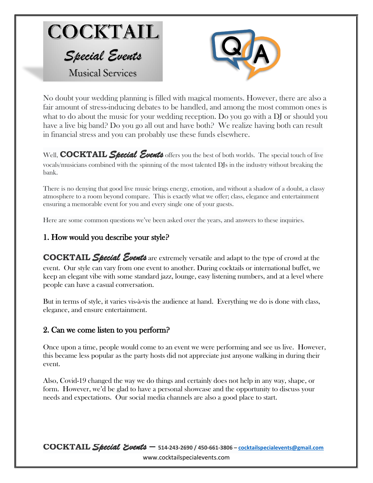



No doubt your wedding planning is filled with magical moments. However, there are also a fair amount of stress-inducing debates to be handled, and among the most common ones is what to do about the music for your wedding reception. Do you go with a DJ or should you have a live big band? Do you go all out and have both? We realize having both can result in financial stress and you can probably use these funds elsewhere.

Well, **COCKTAIL** Special Events offers you the best of both worlds. The special touch of live vocals/musicians combined with the spinning of the most talented DJs in the industry without breaking the bank.

There is no denying that good live music brings energy, emotion, and without a shadow of a doubt, a classy atmosphere to a room beyond compare. This is exactly what we offer; class, elegance and entertainment ensuring a memorable event for you and every single one of your guests.

Here are some common questions we've been asked over the years, and answers to these inquiries.

## 1. How would you describe your style?

**COCKTAIL** *Special Events* are extremely versatile and adapt to the type of crowd at the event. Our style can vary from one event to another. During cocktails or international buffet, we keep an elegant vibe with some standard jazz, lounge, easy listening numbers, and at a level where people can have a casual conversation.

But in terms of style, it varies vis-à-vis the audience at hand. Everything we do is done with class, elegance, and ensure entertainment.

## 2. Can we come listen to you perform?

Once upon a time, people would come to an event we were performing and see us live. However, this became less popular as the party hosts did not appreciate just anyone walking in during their event.

Also, Covid-19 changed the way we do things and certainly does not help in any way, shape, or form. However, we'd be glad to have a personal showcase and the opportunity to discuss your needs and expectations. Our social media channels are also a good place to start.

**COCKTAIL** *Special Events –* **514-243-2690 / 450-661-3806 – [cocktailspecialevents@gmail.com](mailto:cocktailspecialevents@gmail.com)** www.cocktailspecialevents.com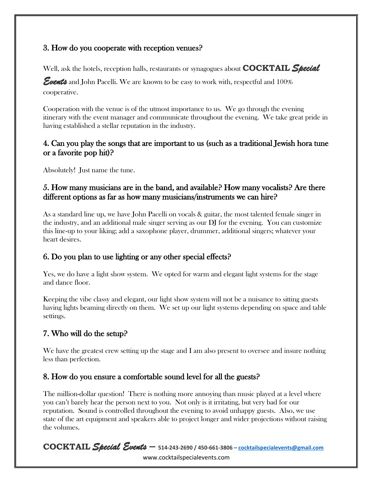## 3. How do you cooperate with reception venues?

Well, ask the hotels, reception halls, restaurants or synagogues about **COCKTAIL** *Special* 

*Events* and John Pacelli. We are known to be easy to work with, respectful and 100% cooperative.

Cooperation with the venue is of the utmost importance to us. We go through the evening itinerary with the event manager and communicate throughout the evening. We take great pride in having established a stellar reputation in the industry.

#### 4. Can you play the songs that are important to us (such as a traditional Jewish hora tune or a favorite pop hit)?

Absolutely! Just name the tune.

## 5. How many musicians are in the band, and available? How many vocalists? Are there different options as far as how many musicians/instruments we can hire?

As a standard line up, we have John Pacelli on vocals & guitar, the most talented female singer in the industry, and an additional male singer serving as our DJ for the evening. You can customize this line-up to your liking; add a saxophone player, drummer, additional singers; whatever your heart desires.

## 6. Do you plan to use lighting or any other special effects?

Yes, we do have a light show system. We opted for warm and elegant light systems for the stage and dance floor.

Keeping the vibe classy and elegant, our light show system will not be a nuisance to sitting guests having lights beaming directly on them. We set up our light systems depending on space and table settings.

# 7. Who will do the setup?

We have the greatest crew setting up the stage and I am also present to oversee and insure nothing less than perfection.

# 8. How do you ensure a comfortable sound level for all the guests?

The million-dollar question! There is nothing more annoying than music played at a level where you can't barely hear the person next to you. Not only is it irritating, but very bad for our reputation. Sound is controlled throughout the evening to avoid unhappy guests. Also, we use state of the art equipment and speakers able to project longer and wider projections without raising the volumes.

**COCKTAIL** *Special Events –* **514-243-2690 / 450-661-3806 – [cocktailspecialevents@gmail.com](mailto:cocktailspecialevents@gmail.com)** www.cocktailspecialevents.com